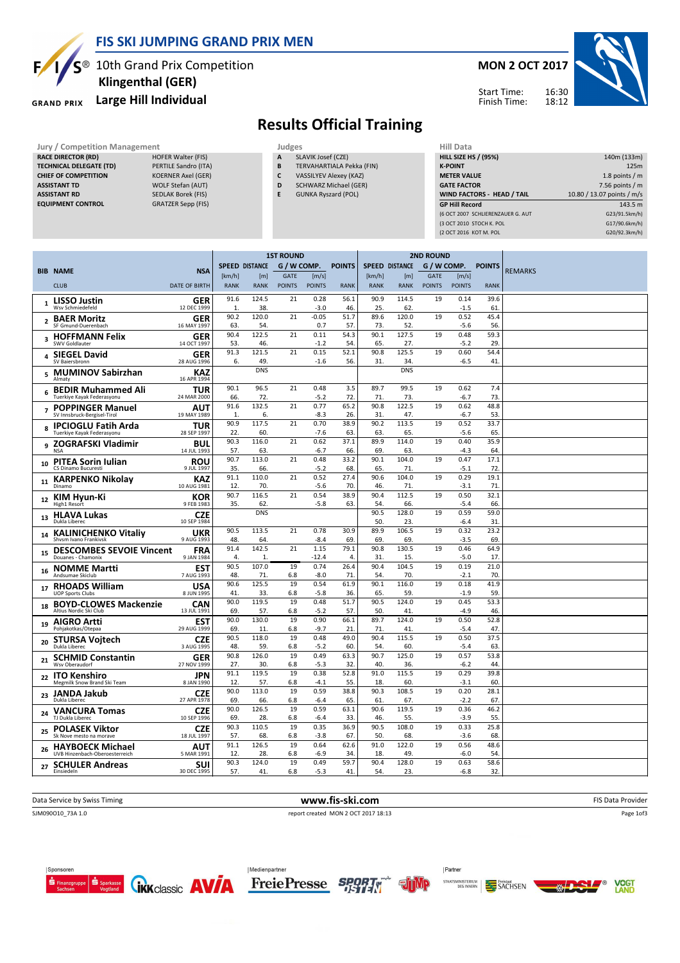

### FIS SKI JUMPING GRAND PRIX MEN

 $S^{\circledast}$  10th Grand Prix Competition

### Large Hill Individual

TECHNICAL DELEGATE (TD) PERTILE Sandro (ITA) CHIEF OF COMPETITION KOERNER Axel (GER) ASSISTANT TD WOLF Stefan (AUT) ASSISTANT RD SEDLAK Borek (FIS) EQUIPMENT CONTROL GRATZER Sepp (FIS)



RACE DIRECTOR (RD)

# Klingenthal (GER)



# Results Official Training

- Jury / Competition Management Judges Judges Hill Data Competition Management Judges Hill Data Competition A SLAVIK Josef (CZE) The HILL SI **SLAVIK Josef (CZE)** B TERVAHARTIALA Pekka (FIN)
	- C VASSILYEV Alexey (KAZ)
	- D SCHWARZ Michael (GER)
	- E GUNKA Ryszard (POL)

| нш цата                           |                            |
|-----------------------------------|----------------------------|
| <b>HILL SIZE HS / (95%)</b>       | 140m (133m)                |
| <b>K-POINT</b>                    | 125m                       |
| <b>METER VALUE</b>                | 1.8 points $/m$            |
| <b>GATE FACTOR</b>                | 7.56 points $/m$           |
| <b>WIND FACTORS - HEAD / TAIL</b> | 10.80 / 13.07 points / m/s |
|                                   |                            |
| <b>GP Hill Record</b>             | 143.5 m                    |
| (6 OCT 2007 SCHLIERENZAUER G. AUT | G23/91.5km/h)              |
| (3 OCT 2010 STOCH K. POL          | G17/90.6km/h)              |
| (2 OCT 2016 KOT M. POL            | G20/92.3km/h)              |

|                |                                                           |                                          | <b>1ST ROUND</b>      |                   |               |                 |               |             |                       | <b>2ND ROUND</b> |                |               |                |
|----------------|-----------------------------------------------------------|------------------------------------------|-----------------------|-------------------|---------------|-----------------|---------------|-------------|-----------------------|------------------|----------------|---------------|----------------|
|                | <b>BIB NAME</b>                                           | <b>NSA</b>                               | <b>SPEED DISTANCE</b> |                   | G / W COMP.   |                 | <b>POINTS</b> |             | <b>SPEED DISTANCE</b> | G / W COMP.      |                | <b>POINTS</b> | <b>REMARKS</b> |
|                |                                                           |                                          | [km/h]                | [m]               | <b>GATE</b>   | [m/s]           |               | [km/h]      | [m]                   | <b>GATE</b>      | [m/s]          |               |                |
|                | <b>CLUB</b>                                               | DATE OF BIRTH                            | <b>RANK</b>           | <b>RANK</b>       | <b>POINTS</b> | <b>POINTS</b>   | <b>RANK</b>   | <b>RANK</b> | <b>RANK</b>           | <b>POINTS</b>    | <b>POINTS</b>  | <b>RANK</b>   |                |
| 1              | <b>LISSO Justin</b><br>Wsv Schmiedefeld                   | GER<br>12 DEC 1999                       | 91.6<br>$\mathbf{1}$  | 124.5<br>38.      | 21            | 0.28<br>$-3.0$  | 56.1<br>46.   | 90.9<br>25. | 114.5<br>62.          | 19               | 0.14<br>$-1.5$ | 39.6<br>61    |                |
| $\overline{2}$ | <b>BAER Moritz</b><br>SF Gmund-Duerenbach                 | GER<br>16 MAY 1997                       | 90.2<br>63.           | 120.0<br>54.      | 21            | $-0.05$<br>0.7  | 51.7<br>57.   | 89.6<br>73. | 120.0<br>52.          | 19               | 0.52<br>$-5.6$ | 45.4<br>56.   |                |
| 3              | <b>HOFFMANN Felix</b><br>SWV Goldlauter                   | GER<br>14 OCT 1997                       | 90.4<br>53.           | 122.5<br>46.      | 21            | 0.11<br>$-1.2$  | 54.3<br>54    | 90.1<br>65. | 127.5<br>27.          | 19               | 0.48<br>$-5.2$ | 59.3<br>29.   |                |
| 4              | <b>SIEGEL David</b>                                       | GER                                      | 91.3                  | 121.5             | 21            | 0.15            | 52.1          | 90.8        | 125.5                 | 19               | 0.60           | 54.4          |                |
|                | SV Baiersbronn<br>5 MUMINOV Sabirzhan                     | 28 AUG 1996<br>KAZ                       | 6.                    | 49.<br><b>DNS</b> |               | $-1.6$          | 56.           | 31.         | 34<br><b>DNS</b>      |                  | $-6.5$         | 41.           |                |
| 6              | Almaty<br><b>BEDIR Muhammed Ali</b>                       | 16 APR 1994<br><b>TUR</b><br>24 MAR 2000 | 90.1<br>66.           | 96.5<br>72.       | 21            | 0.48<br>$-5.2$  | 3.5<br>72.    | 89.7<br>71  | 99.5<br>73.           | 19               | 0.62<br>$-6.7$ | 7.4<br>73.    |                |
| $\overline{7}$ | Tuerkiye Kayak Federasyonu<br><b>POPPINGER Manuel</b>     | AUT                                      | 91.6                  | 132.5             | 21            | 0.77            | 65.2          | 90.8        | 122.5                 | 19               | 0.62           | 48.8          |                |
|                | SV Innsbruck-Bergisel-Tirol                               | 19 MAY 1989<br><b>TUR</b>                | $\mathbf{1}$<br>90.9  | 6.<br>117.5       | 21            | $-8.3$<br>0.70  | 26.<br>38.9   | 31.<br>90.2 | 47.<br>113.5          | 19               | $-6.7$<br>0.52 | 53.<br>33.7   |                |
| 8              | <b>IPCIOGLU Fatih Arda</b><br>Tuerkiye Kayak Federasyonu  | 28 SEP 1997                              | 22.                   | 60.               |               | $-7.6$          | 63.           | 63.         | 65.                   |                  | $-5.6$         | 65.           |                |
| 9              | <b>ZOGRAFSKI Vladimir</b><br><b>NSA</b>                   | <b>BUL</b><br>14 JUL 1993                | 90.3<br>57.           | 116.0<br>63.      | 21            | 0.62<br>$-6.7$  | 37.1<br>66.   | 89.9<br>69. | 114.0<br>63           | 19               | 0.40<br>$-4.3$ | 35.9<br>64.   |                |
| 10             | <b>PITEA Sorin Iulian</b><br>CS Dinamo Bucuresti          | <b>ROU</b><br>9 JUL 1997                 | 90.7<br>35.           | 113.0<br>66.      | 21            | 0.48<br>$-5.2$  | 33.2<br>68.   | 90.1<br>65  | 104.0<br>71           | 19               | 0.47<br>$-5.1$ | 17.1<br>72    |                |
| 11             | <b>KARPENKO Nikolay</b><br>Dinamo                         | <b>KAZ</b><br>10 AUG 1981                | 91.1<br>12.           | 110.0<br>70.      | 21            | 0.52<br>$-5.6$  | 27.4<br>70.   | 90.6<br>46. | 104.0<br>71           | 19               | 0.29<br>$-3.1$ | 19.1<br>71    |                |
|                | 12 KIM Hyun-Ki<br><b>High1 Resort</b>                     | KOR<br>9 FEB 1983                        | 90.7<br>35.           | 116.5<br>62.      | 21            | 0.54<br>$-5.8$  | 38.9<br>63.   | 90.4<br>54. | 112.5<br>66.          | 19               | 0.50<br>$-5.4$ | 32.1<br>66.   |                |
| 13             | <b>HLAVA Lukas</b><br>Dukla Liberec                       | CZE<br>10 SEP 1984                       |                       | <b>DNS</b>        |               |                 |               | 90.5<br>50  | 128.0<br>23.          | 19               | 0.59<br>$-6.4$ | 59.0<br>31    |                |
| 14             | <b>KALINICHENKO Vitaliy</b><br>Shysm Ivano Frankiysk      | <b>UKR</b><br>9 AUG 1993                 | 90.5<br>48.           | 113.5<br>64.      | 21            | 0.78<br>$-8.4$  | 30.9<br>69.   | 89.9<br>69. | 106.5<br>69.          | 19               | 0.32<br>$-3.5$ | 23.2<br>69.   |                |
| 15             | <b>DESCOMBES SEVOIE Vincent</b><br>Douanes - Chamonix     | <b>FRA</b><br>9 JAN 1984                 | 91.4<br>4.            | 142.5<br>1.       | 21            | 1.15<br>$-12.4$ | 79.1<br>4.    | 90.8<br>31  | 130.5<br>15.          | 19               | 0.46<br>$-5.0$ | 64.9<br>17.   |                |
|                | 16 NOMME Martti<br>Andsumae Skiclub                       | <b>EST</b><br>7 AUG 1993                 | 90.5<br>48.           | 107.0<br>71.      | 19<br>6.8     | 0.74<br>$-8.0$  | 26.4<br>71    | 90.4<br>54. | 104.5<br>70.          | 19               | 0.19<br>$-2.1$ | 21.0<br>70.   |                |
| 17             | <b>RHOADS William</b><br><b>UOP Sports Clubs</b>          | <b>USA</b><br>8 JUN 1995                 | 90.6<br>41.           | 125.5<br>33.      | 19<br>6.8     | 0.54<br>$-5.8$  | 61.9<br>36.   | 90.1<br>65. | 116.0<br>59           | 19               | 0.18<br>$-1.9$ | 41.9<br>59.   |                |
| 18             | <b>BOYD-CLOWES Mackenzie</b><br>Altius Nordic Ski Club    | <b>CAN</b><br>13 JUL 1991                | 90.0<br>69.           | 119.5<br>57.      | 19<br>6.8     | 0.48<br>$-5.2$  | 51.7<br>57.   | 90.5<br>50  | 124.0<br>41           | 19               | 0.45<br>$-4.9$ | 53.3<br>46.   |                |
| 19             | <b>AIGRO Artti</b><br>Pohjakotkas/Otepaa                  | <b>EST</b><br>29 AUG 1999                | 90.0<br>69.           | 130.0<br>11.      | 19<br>6.8     | 0.90<br>$-9.7$  | 66.1<br>21.   | 89.7<br>71  | 124.0<br>41           | 19               | 0.50<br>$-5.4$ | 52.8<br>47.   |                |
| 20             | <b>STURSA Vojtech</b><br>Dukla Liberec                    | <b>CZE</b><br>3 AUG 1995                 | 90.5<br>48.           | 118.0<br>59.      | 19<br>6.8     | 0.48<br>$-5.2$  | 49.0<br>60.   | 90.4<br>54. | 115.5<br>60.          | 19               | 0.50<br>$-5.4$ | 37.5<br>63.   |                |
| 21             | <b>SCHMID Constantin</b><br>Wsv Oberaudorf                | <b>GER</b><br>27 NOV 1999                | 90.8<br>27.           | 126.0<br>30.      | 19<br>6.8     | 0.49<br>$-5.3$  | 63.3<br>32.   | 90.7<br>40  | 125.0<br>36.          | 19               | 0.57<br>$-6.2$ | 53.8<br>44    |                |
| 22             | <b>ITO Kenshiro</b><br>Megmilk Snow Brand Ski Team        | <b>JPN</b><br>8 JAN 1990                 | 91.1<br>12.           | 119.5<br>57.      | 19<br>6.8     | 0.38<br>$-4.1$  | 52.8<br>55.   | 91.0<br>18. | 115.5<br>60.          | 19               | 0.29<br>$-3.1$ | 39.8<br>60.   |                |
| 23             | JANDA Jakub<br>Dukla Liberec                              | CZE<br>27 APR 1978                       | 90.0<br>69.           | 113.0<br>66.      | 19<br>6.8     | 0.59<br>$-6.4$  | 38.8<br>65.   | 90.3<br>61  | 108.5<br>67.          | 19               | 0.20<br>$-2.2$ | 28.1<br>67    |                |
| 24             | <b>VANCURA Tomas</b>                                      | <b>CZE</b>                               | 90.0                  | 126.5             | 19            | 0.59            | 63.1          | 90.6        | 119.5                 | 19               | 0.36           | 46.2          |                |
|                | TJ Dukla Liberec                                          | 10 SEP 1996                              | 69.<br>90.3           | 28.<br>110.5      | 6.8<br>19     | $-6.4$<br>0.35  | 33.<br>36.9   | 46.<br>90.5 | 55.<br>108.0          | 19               | $-3.9$<br>0.33 | 55.<br>25.8   |                |
| 25             | <b>POLASEK Viktor</b><br>Sk Nove mesto na morave          | CZE<br>18 JUL 1997                       | 57.                   | 68.               | 6.8           | $-3.8$          | 67.           | 50          | 68.                   |                  | $-3.6$         | 68.           |                |
| 26             | <b>HAYBOECK Michael</b><br>UVB Hinzenbach-Oberoesterreich | AUT<br>5 MAR 1991                        | 91.1<br>12.           | 126.5<br>28.      | 19<br>6.8     | 0.64<br>$-6.9$  | 62.6<br>34.   | 91.0<br>18. | 122.0<br>49.          | 19               | 0.56<br>$-6.0$ | 48.6<br>54    |                |
| 27             | <b>SCHULER Andreas</b><br>Finsiedeln                      | SUI<br>30 DEC 1995                       | 90.3<br>57.           | 124.0<br>41.      | 19<br>6.8     | 0.49<br>$-5.3$  | 59.7<br>41.   | 90.4<br>54  | 128.0<br>23           | 19               | 0.63<br>$-6.8$ | 58.6<br>32.   |                |

Data Service by Swiss Timing **EXECUTE 19 The State Provider** www.fis-ski.com **FIS** Data Provider

SJM090O10\_73A 1.0 report created MON 2 OCT 2017 18:13

Page 1of3









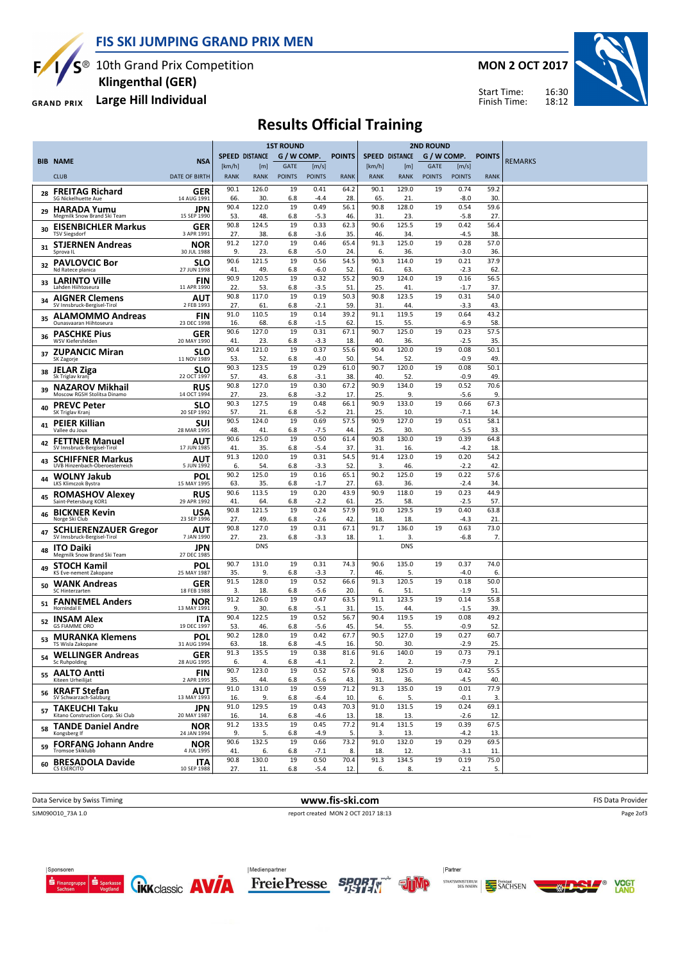FIS SKI JUMPING GRAND PRIX MEN



S<sup>®</sup> 10th Grand Prix Competition Klingenthal (GER)

GRAND PRIX Large Hill Individual

MON 2 OCT 2017



Start Time: Finish Time:

# Results Official Training

|    |                                                             |                           | <b>1ST ROUND</b>      |                       |                              |                        |               |                       | <b>2ND ROUND</b>   |                              |                        |                        |                |
|----|-------------------------------------------------------------|---------------------------|-----------------------|-----------------------|------------------------------|------------------------|---------------|-----------------------|--------------------|------------------------------|------------------------|------------------------|----------------|
|    | <b>BIB NAME</b>                                             | <b>NSA</b>                |                       | <b>SPEED DISTANCE</b> | G / W COMP.                  |                        | <b>POINTS</b> | <b>SPEED DISTANCE</b> |                    | G / W COMP.                  |                        | <b>POINTS</b>          | <b>REMARKS</b> |
|    | <b>CLUB</b>                                                 | <b>DATE OF BIRTH</b>      | [km/h]<br><b>RANK</b> | [m]<br><b>RANK</b>    | <b>GATE</b><br><b>POINTS</b> | [m/s]<br><b>POINTS</b> | <b>RANK</b>   | [km/h]<br><b>RANK</b> | [m]<br><b>RANK</b> | <b>GATE</b><br><b>POINTS</b> | [m/s]<br><b>POINTS</b> | <b>RANK</b>            |                |
| 28 | <b>FREITAG Richard</b>                                      | GER                       | 90.1                  | 126.0                 | 19                           | 0.41                   | 64.2          | 90.1                  | 129.0              | 19                           | 0.74                   | 59.2                   |                |
|    | <b>SG Nickelhuette Aue</b><br><b>HARADA Yumu</b>            | 14 AUG 1991<br><b>JPN</b> | 66.<br>90.4           | 30.<br>122.0          | 6.8<br>19                    | $-4.4$<br>0.49         | 28.<br>56.1   | 65.<br>90.8           | 21.<br>128.0       | 19                           | $-8.0$<br>0.54         | 30.<br>59.6            |                |
| 29 | Megmilk Snow Brand Ski Team                                 | 15 SEP 1990               | 53.<br>90.8           | 48.<br>124.5          | 6.8<br>19                    | -5.3<br>0.33           | 46.<br>62.3   | 31<br>90.6            | 23.<br>125.5       | 19                           | $-5.8$<br>0.42         | 27<br>56.4             |                |
| 30 | <b>EISENBICHLER Markus</b><br><b>TSV Siegsdorf</b>          | <b>GER</b><br>3 APR 1991  | 27.                   | 38.                   | 6.8                          | $-3.6$                 | 35.           | 46.                   | 34.                |                              | -4.5                   | 38                     |                |
| 31 | <b>STJERNEN Andreas</b><br>Sprova II                        | <b>NOR</b><br>30 JUL 1988 | 91.2<br>9.            | 127.0<br>23.          | 19<br>6.8                    | 0.46<br>$-5.0$         | 65.4<br>24.   | 91.3<br>6.            | 125.0<br>36.       | 19                           | 0.28<br>$-3.0$         | 57.0<br>36.            |                |
| 32 | <b>PAVLOVCIC Bor</b><br>Nd Ratece planica                   | SLO<br>27 JUN 1998        | 90.6<br>41.           | 121.5<br>49.          | 19<br>6.8                    | 0.56<br>$-6.0$         | 54.5<br>52.   | 90.3<br>61            | 114.0<br>63.       | 19                           | 0.21<br>$-2.3$         | 37.9<br>62             |                |
| 33 | <b>LARINTO Ville</b><br>Lahden Hiihtoseura                  | <b>FIN</b><br>11 APR 1990 | 90.9<br>22.           | 120.5<br>53.          | 19<br>6.8                    | 0.32<br>$-3.5$         | 55.2<br>51.   | 90.9<br>25.           | 124.0<br>41        | 19                           | 0.16<br>$-1.7$         | 56.5<br>37.            |                |
| 34 | <b>AIGNER Clemens</b>                                       | AUT                       | 90.8                  | 117.0                 | 19                           | 0.19                   | 50.3          | 90.8                  | 123.5              | 19                           | 0.31                   | 54.0                   |                |
| 35 | SV Innsbruck-Bergisel-Tirol<br><b>ALAMOMMO Andreas</b>      | 2 FEB 1993<br><b>FIN</b>  | 27.<br>91.0           | 61.<br>110.5          | 6.8<br>19                    | $-2.1$<br>0.14         | 59.<br>39.2   | 31.<br>91.1           | 44.<br>119.5       | 19                           | $-3.3$<br>0.64         | 43<br>43.2             |                |
|    | Ounasvaaran Hiihtoseura<br><b>PASCHKE Pius</b>              | 23 DEC 1998<br><b>GER</b> | 16.<br>90.6           | 68.<br>127.0          | 6.8<br>19                    | $-1.5$<br>0.31         | 62.<br>67.1   | 15.<br>90.7           | 55.<br>125.0       | 19                           | $-6.9$<br>0.23         | 58<br>57.5             |                |
| 36 | WSV Kiefersfelden                                           | 20 MAY 1990               | 41.<br>90.4           | 23.<br>121.0          | 6.8<br>19                    | $-3.3$<br>0.37         | 18.<br>55.6   | 40.<br>90.4           | 36.<br>120.0       | 19                           | $-2.5$<br>0.08         | 35<br>50.1             |                |
| 37 | <b>ZUPANCIC Miran</b><br>SK Zagorje                         | SLO<br>11 NOV 1989        | 53.                   | 52.                   | 6.8                          | $-4.0$                 | 50.           | 54.                   | 52.                |                              | $-0.9$                 | 49                     |                |
| 38 | <b>JELAR Ziga</b><br>Sk Triglav kranj                       | SLO<br>22 OCT 1997        | 90.3<br>57.           | 123.5<br>43.          | 19<br>6.8                    | 0.29<br>$-3.1$         | 61.0<br>38.   | 90.7<br>40.           | 120.0<br>52.       | 19                           | 0.08<br>$-0.9$         | 50.1<br>49             |                |
| 39 | <b>NAZAROV Mikhail</b><br>Moscow RGSH Stolitsa Dinamo       | <b>RUS</b><br>14 OCT 1994 | 90.8<br>27.           | 127.0<br>23.          | 19<br>6.8                    | 0.30<br>$-3.2$         | 67.2<br>17.   | 90.9<br>25.           | 134.0<br>9.        | 19                           | 0.52<br>$-5.6$         | 70.6<br>9              |                |
| 40 | <b>PREVC Peter</b><br>SK Triglav Kranj                      | SLO<br>20 SEP 1992        | 90.3<br>57.           | 127.5<br>21.          | 19<br>6.8                    | 0.48<br>$-5.2$         | 66.1<br>21.   | 90.9<br>25.           | 133.0<br>10.       | 19                           | 0.66<br>$-7.1$         | 67.3<br>14             |                |
| 41 | <b>PEIER Killian</b>                                        | SUI                       | 90.5                  | 124.0                 | 19                           | 0.69                   | 57.5          | 90.9                  | 127.0              | 19                           | 0.51                   | 58.1                   |                |
| 42 | Vallee du Joux<br><b>FETTNER Manuel</b>                     | 28 MAR 1995<br>AUT        | 48.<br>90.6           | 41.<br>125.0          | 6.8<br>19                    | $-7.5$<br>0.50         | 44.<br>61.4   | 25.<br>90.8           | 30.<br>130.0       | 19                           | $-5.5$<br>0.39         | 33<br>64.8             |                |
|    | SV Innsbruck-Bergisel-Tirol<br><b>SCHIFFNER Markus</b>      | 17 JUN 1985<br>AUT        | 41.<br>91.3           | 35.<br>120.0          | 6.8<br>19                    | $-5.4$<br>0.31         | 37.<br>54.5   | 31.<br>91.4           | 16.<br>123.0       | 19                           | -4.2<br>0.20           | 18<br>54.2             |                |
| 43 | UVB Hinzenbach-Oberoesterreich                              | 5 JUN 1992                | 6.<br>90.2            | 54.<br>125.0          | 6.8<br>19                    | $-3.3$<br>0.16         | 52.<br>65.1   | 3.<br>90.2            | 46.<br>125.0       | 19                           | $-2.2$<br>0.22         | 42                     |                |
| 44 | <b>WOLNY Jakub</b><br>LKS Klimczok Bystra                   | POL<br>15 MAY 1995        | 63.                   | 35.                   | 6.8                          | $-1.7$                 | 27.           | 63.                   | 36.                |                              | $-2.4$                 | 57.6<br>34             |                |
| 45 | <b>ROMASHOV Alexey</b><br>Saint-Petersburg KOR1             | <b>RUS</b><br>29 APR 1992 | 90.6<br>41.           | 113.5<br>64.          | 19<br>6.8                    | 0.20<br>$-2.2$         | 43.9<br>61.   | 90.9<br>25.           | 118.0<br>58.       | 19                           | 0.23<br>$-2.5$         | 44.9<br>57.            |                |
| 46 | <b>BICKNER Kevin</b><br>Norge Ski Club                      | USA<br>23 SEP 1996        | 90.8<br>27.           | 121.5<br>49.          | 19<br>6.8                    | 0.24<br>$-2.6$         | 57.9<br>42.   | 91.0<br>18.           | 129.5<br>18.       | 19                           | 0.40<br>-4.3           | 63.8<br>21             |                |
| 47 | <b>SCHLIERENZAUER Gregor</b><br>SV Innsbruck-Bergisel-Tirol | AUT<br>7 JAN 1990         | 90.8<br>27.           | 127.0<br>23.          | 19<br>6.8                    | 0.31<br>$-3.3$         | 67.1<br>18.   | 91.7<br>1.            | 136.0<br>3         | 19                           | 0.63<br>$-6.8$         | 73.0<br>7 <sub>2</sub> |                |
| 48 | <b>ITO Daiki</b>                                            | JPN                       |                       | <b>DNS</b>            |                              |                        |               |                       | <b>DNS</b>         |                              |                        |                        |                |
| 49 | Megmilk Snow Brand Ski Team<br><b>STOCH Kamil</b>           | 27 DEC 1985<br>POL        | 90.7                  | 131.0                 | 19                           | 0.31                   | 74.3          | 90.6                  | 135.0              | 19                           | 0.37                   | 74.0                   |                |
|    | KS Eve-nement Zakopane                                      | 25 MAY 1987<br><b>GER</b> | 35.<br>91.5           | 9.<br>128.0           | 6.8<br>19                    | $-3.3$<br>0.52         | 7.<br>66.6    | 46.<br>91.3           | 5.<br>120.5        | 19                           | $-4.0$<br>0.18         | 6.<br>50.0             |                |
| 50 | WANK Andreas<br>SC Hinterzarten                             | 18 FEB 1988               | 3.                    | 18.<br>126.0          | 6.8<br>19                    | $-5.6$                 | 20.           | 6.<br>91.1            | 51                 | 19                           | $-1.9$                 | 51                     |                |
| 51 | <b>FANNEMEL Anders</b><br>Hornindal II                      | <b>NOR</b><br>13 MAY 1991 | 91.2<br>9.            | 30.                   | 6.8                          | 0.47<br>$-5.1$         | 63.5<br>31.   | 15.                   | 123.5<br>44.       |                              | 0.14<br>$-1.5$         | 55.8<br>39             |                |
| 52 | <b>INSAM Alex</b><br><b>GS FIAMME ORO</b>                   | <b>ITA</b><br>19 DEC 1997 | 90.4<br>53.           | 122.5<br>46.          | 19<br>6.8                    | 0.52<br>$-5.6$         | 56.7<br>45.   | 90.4<br>54.           | 119.5<br>55.       | 19                           | 0.08<br>$-0.9$         | 49.2<br>52             |                |
| 53 | <b>MURANKA Klemens</b><br>TS Wisla Zakopane                 | POL<br>31 AUG 1994        | 90.2<br>63.           | 128.0<br>18.          | 19<br>6.8                    | 0.42<br>$-4.5$         | 67.7<br>16.   | 90.5<br>50.           | 127.0<br>30.       | 19                           | 0.27<br>$-2.9$         | 60.7<br>25.            |                |
| 54 | <b>WELLINGER Andreas</b>                                    | <b>GER</b>                | 91.3                  | 135.5<br>4.           | 19                           | 0.38                   | 81.6<br>2.    | 91.6                  | 140.0              | 19                           | 0.73<br>$-7.9$         | 79.1<br>2.             |                |
| 55 | Sc Ruhpolding<br><b>AALTO Antti</b>                         | 28 AUG 1995<br><b>FIN</b> | 6.<br>90.7            | 123.0                 | 6.8<br>19                    | $-4.1$<br>0.52         | 57.6          | 2.<br>90.8            | 2.<br>125.0        | 19                           | 0.42                   | 55.5                   |                |
|    | Kiteen Urheilijat<br><sub>56</sub> KRAFT Stefan             | 2 APR 1995<br>AUT         | 35.<br>91.0           | 44.<br>131.0          | 6.8<br>19                    | $-5.6$<br>0.59         | 43.<br>71.2   | 31.<br>91.3           | 36.<br>135.0       | 19                           | -4.5<br>0.01           | 40.<br>77.9            |                |
|    | SV Schwarzach-Salzburg                                      | 13 MAY 1993               | 16.<br>91.0           | 9.<br>129.5           | 6.8<br>19                    | $-6.4$<br>0.43         | 10.<br>70.3   | 6.<br>91.0            | 5.<br>131.5        | 19                           | $-0.1$<br>0.24         | 3.<br>69.1             |                |
| 57 | <b>TAKEUCHI Taku</b><br>Kitano Construction Corp. Ski Club  | JPN<br>20 MAY 1987        | 16.                   | 14.                   | 6.8                          | -4.6                   | 13.           | 18.                   | 13.                |                              | $-2.6$                 | 12.                    |                |
| 58 | <b>TANDE Daniel Andre</b><br>Kongsberg If                   | <b>NOR</b><br>24 JAN 1994 | 91.2<br>9.            | 133.5<br>5.           | 19<br>6.8                    | 0.45<br>$-4.9$         | 77.2<br>5.    | 91.4<br>3.            | 131.5<br>13.       | 19                           | 0.39<br>$-4.2$         | 67.5<br>13.            |                |
|    | 59 FORFANG Johann Andre                                     | <b>NOR</b><br>4 JUL 1995  | 90.6<br>41.           | 132.5<br>6.           | 19<br>6.8                    | 0.66<br>$-7.1$         | 73.2<br>8.    | 91.0<br>18.           | 132.0<br>12.       | 19                           | 0.29<br>$-3.1$         | 69.5<br>11.            |                |
| 60 | <b>BRESADOLA Davide</b><br>CS ESERCITO                      | <b>ITA</b><br>10 SEP 1988 | 90.8<br>27.           | 130.0<br>11.          | 19<br>6.8                    | 0.50<br>$-5.4$         | 70.4<br>12.   | 91.3<br>6.            | 134.5<br>8.        | 19                           | 0.19<br>$-2.1$         | 75.0<br>5.             |                |